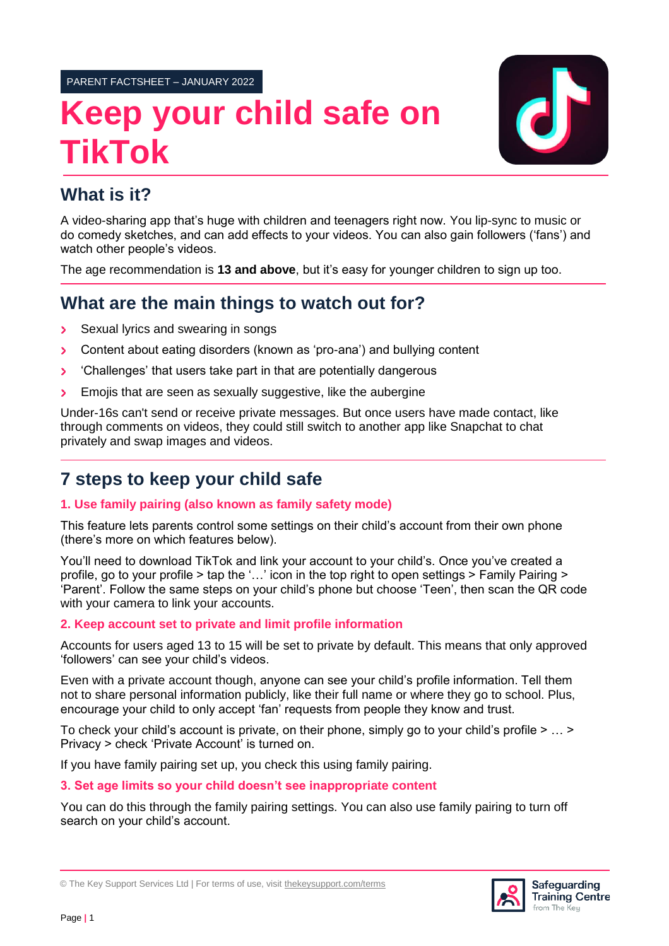PARENT FACTSHEET – JANUARY 2022

# **Keep your child safe on TikTok**



## **What is it?**

A video-sharing app that's huge with children and teenagers right now. You lip-sync to music or do comedy sketches, and can add effects to your videos. You can also gain followers ('fans') and watch other people's videos.

The age recommendation is **13 and above**, but it's easy for younger children to sign up too.

## **What are the main things to watch out for?**

- Sexual lyrics and swearing in songs  $\overline{\phantom{1}}$
- Content about eating disorders (known as 'pro-ana') and bullying content  $\overline{\phantom{0}}$
- 'Challenges' that users take part in that are potentially dangerous  $\blacktriangleright$
- Emojis that are seen as sexually suggestive, like the aubergine  $\overline{\phantom{0}}$

Under-16s can't send or receive private messages. But once users have made contact, like through comments on videos, they could still switch to another app like Snapchat to chat privately and swap images and videos.

# **7 steps to keep your child safe**

## **1. Use family pairing (also known as family safety mode)**

This feature lets parents control some settings on their child's account from their own phone (there's more on which features below).

You'll need to download TikTok and link your account to your child's. Once you've created a profile, go to your profile > tap the '…' icon in the top right to open settings > Family Pairing > 'Parent'. Follow the same steps on your child's phone but choose 'Teen', then scan the QR code with your camera to link your accounts.

## **2. Keep account set to private and limit profile information**

Accounts for users aged 13 to 15 will be set to private by default. This means that only approved 'followers' can see your child's videos.

Even with a private account though, anyone can see your child's profile information. Tell them not to share personal information publicly, like their full name or where they go to school. Plus, encourage your child to only accept 'fan' requests from people they know and trust.

To check your child's account is private, on their phone, simply go to your child's profile > … > Privacy > check 'Private Account' is turned on.

If you have family pairing set up, you check this using family pairing.

#### **3. Set age limits so your child doesn't see inappropriate content**

You can do this through the family pairing settings. You can also use family pairing to turn off search on your child's account.



<sup>©</sup> The Key Support Services Ltd | For terms of use, visit [thekeysupport.com/terms](https://thekeysupport.com/terms-of-use)